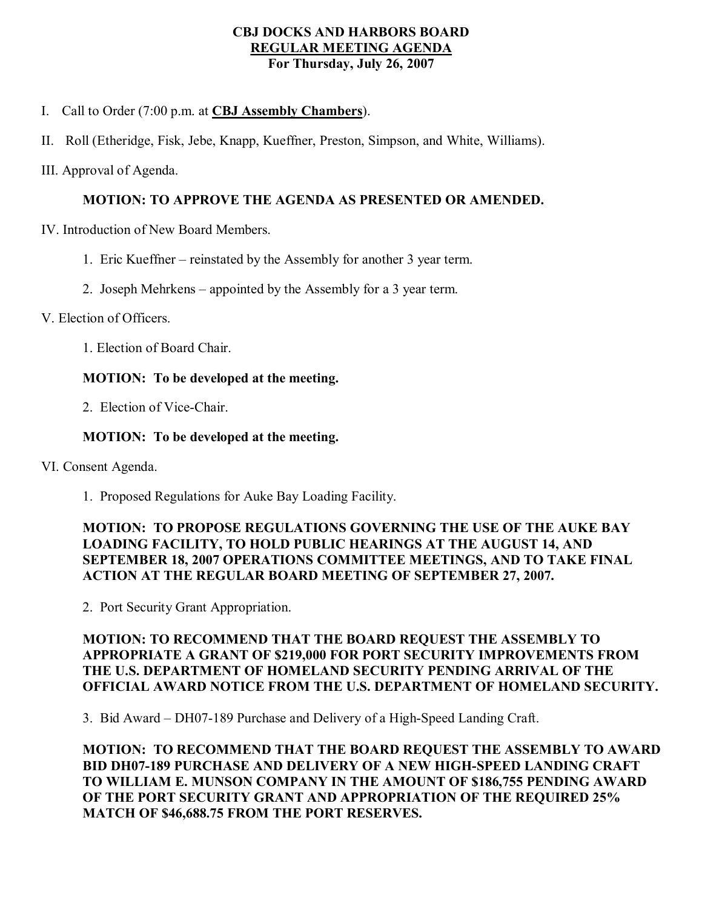#### **CBJ DOCKS AND HARBORS BOARD REGULAR MEETING AGENDA For Thursday, July 26, 2007**

I. Call to Order (7:00 p.m. at **CBJ Assembly Chambers**).

- II. Roll (Etheridge, Fisk, Jebe, Knapp, Kueffner, Preston, Simpson, and White, Williams).
- III. Approval of Agenda.

# **MOTION: TO APPROVE THE AGENDA AS PRESENTED OR AMENDED.**

- IV. Introduction of New Board Members.
	- 1. Eric Kueffner reinstated by the Assembly for another 3 year term.
	- 2. Joseph Mehrkens appointed by the Assembly for a 3 year term.

### V. Election of Officers.

1. Election of Board Chair.

# **MOTION: To be developed at the meeting.**

2. Election of Vice-Chair.

# **MOTION: To be developed at the meeting.**

- VI. Consent Agenda.
	- 1. Proposed Regulations for Auke Bay Loading Facility.

## **MOTION: TO PROPOSE REGULATIONS GOVERNING THE USE OF THE AUKE BAY LOADING FACILITY, TO HOLD PUBLIC HEARINGS AT THE AUGUST 14, AND SEPTEMBER 18, 2007 OPERATIONS COMMITTEE MEETINGS, AND TO TAKE FINAL ACTION AT THE REGULAR BOARD MEETING OF SEPTEMBER 27, 2007.**

2. Port Security Grant Appropriation.

### **MOTION: TO RECOMMEND THAT THE BOARD REQUEST THE ASSEMBLY TO APPROPRIATE A GRANT OF \$219,000 FOR PORT SECURITY IMPROVEMENTS FROM THE U.S. DEPARTMENT OF HOMELAND SECURITY PENDING ARRIVAL OF THE OFFICIAL AWARD NOTICE FROM THE U.S. DEPARTMENT OF HOMELAND SECURITY.**

3. Bid Award – DH07-189 Purchase and Delivery of a High-Speed Landing Craft.

**MOTION: TO RECOMMEND THAT THE BOARD REQUEST THE ASSEMBLY TO AWARD BID DH07189 PURCHASE AND DELIVERY OF A NEW HIGHSPEED LANDING CRAFT TO WILLIAM E. MUNSON COMPANY IN THE AMOUNT OF \$186,755 PENDING AWARD OF THE PORT SECURITY GRANT AND APPROPRIATION OF THE REQUIRED 25% MATCH OF \$46,688.75 FROM THE PORT RESERVES.**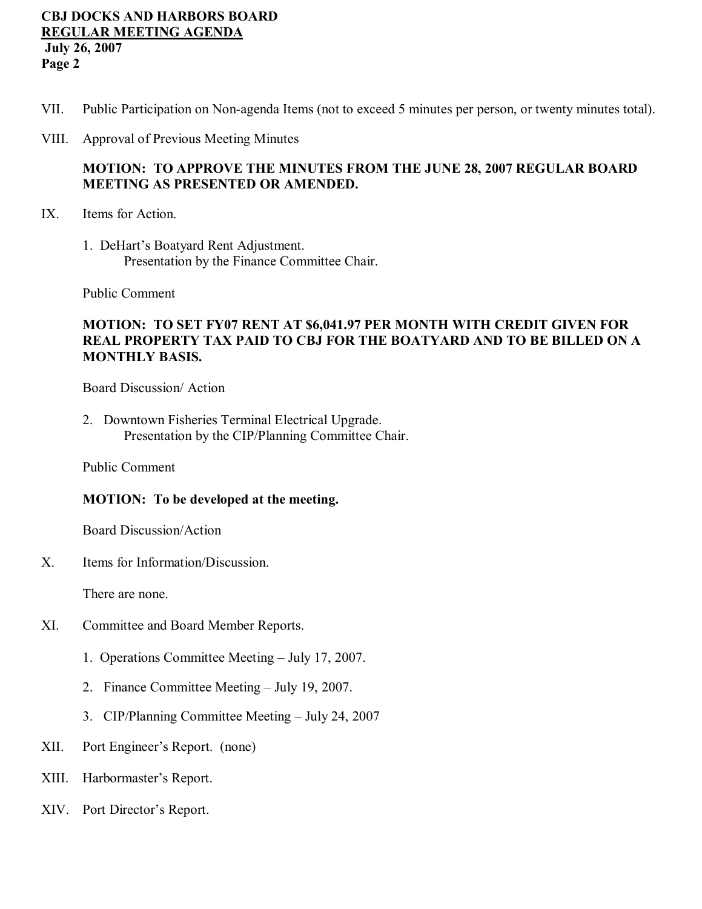### **CBJ DOCKS AND HARBORS BOARD REGULAR MEETING AGENDA July 26, 2007 Page 2**

- VII. Public Participation on Non-agenda Items (not to exceed 5 minutes per person, or twenty minutes total).
- VIII. Approval of Previous Meeting Minutes

## **MOTION: TO APPROVE THE MINUTES FROM THE JUNE 28, 2007 REGULAR BOARD MEETING AS PRESENTED OR AMENDED.**

- IX. Items for Action.
	- 1. DeHart's Boatyard Rent Adjustment. Presentation by the Finance Committee Chair.

Public Comment

### **MOTION: TO SET FY07 RENT AT \$6,041.97 PER MONTH WITH CREDIT GIVEN FOR REAL PROPERTY TAX PAID TO CBJ FOR THE BOATYARD AND TO BE BILLED ON A MONTHLY BASIS.**

Board Discussion/ Action

2. Downtown Fisheries Terminal Electrical Upgrade. Presentation by the CIP/Planning Committee Chair.

Public Comment

#### **MOTION: To be developed at the meeting.**

Board Discussion/Action

X. Items for Information/Discussion.

There are none.

- XI. Committee and Board Member Reports.
	- 1. Operations Committee Meeting July 17, 2007.
	- 2. Finance Committee Meeting July 19, 2007.
	- 3. CIP/Planning Committee Meeting July 24, 2007
- XII. Port Engineer's Report. (none)
- XIII. Harbormaster's Report.
- XIV. Port Director's Report.